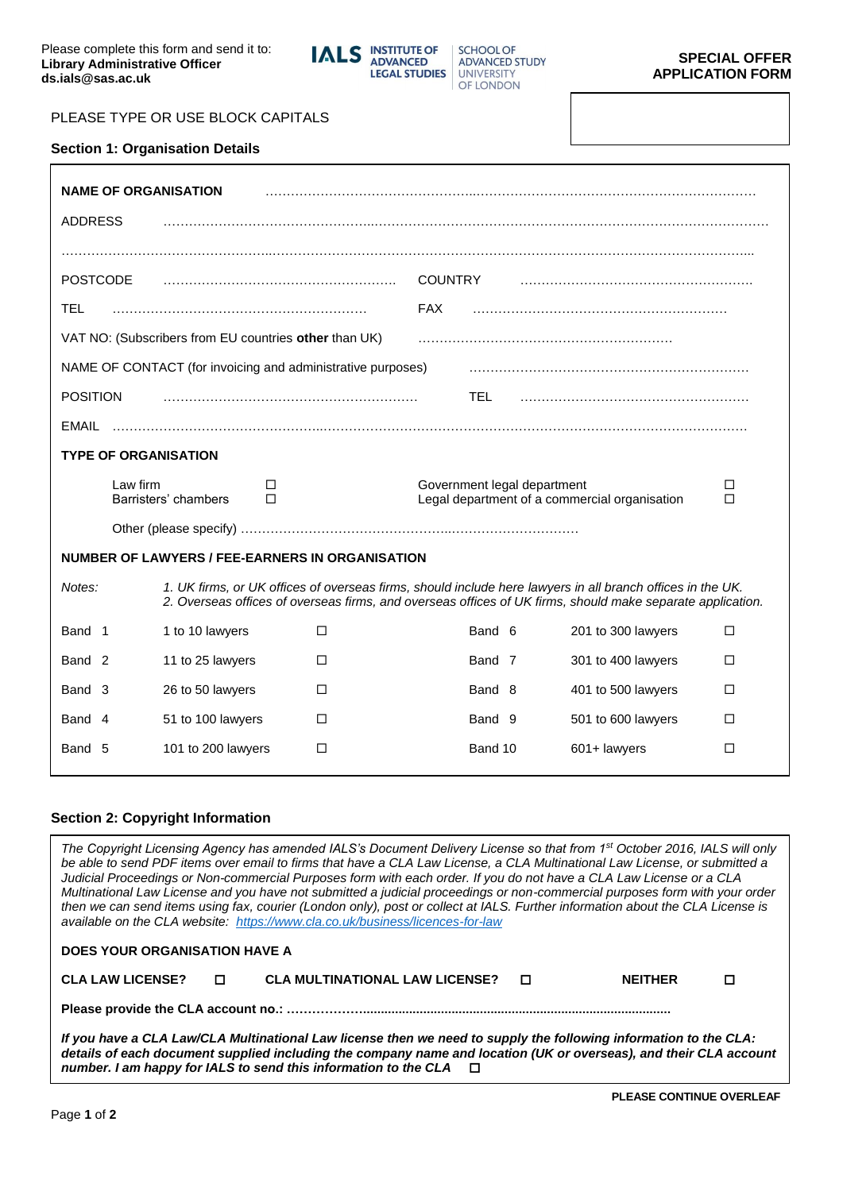

# PLEASE TYPE OR USE BLOCK CAPITALS

#### **Section 1: Organisation Details**

| <b>NAME OF ORGANISATION</b>                                 |                                                        |                |                             |                                                                                                                                                                                                                          |        |
|-------------------------------------------------------------|--------------------------------------------------------|----------------|-----------------------------|--------------------------------------------------------------------------------------------------------------------------------------------------------------------------------------------------------------------------|--------|
| <b>ADDRESS</b>                                              |                                                        |                |                             |                                                                                                                                                                                                                          |        |
|                                                             |                                                        |                |                             |                                                                                                                                                                                                                          |        |
| <b>POSTCODE</b>                                             |                                                        | <b>COUNTRY</b> |                             |                                                                                                                                                                                                                          |        |
| TEL                                                         |                                                        | <b>FAX</b>     |                             |                                                                                                                                                                                                                          |        |
|                                                             | VAT NO: (Subscribers from EU countries other than UK)  |                |                             |                                                                                                                                                                                                                          |        |
| NAME OF CONTACT (for invoicing and administrative purposes) |                                                        |                |                             |                                                                                                                                                                                                                          |        |
| <b>POSITION</b>                                             |                                                        |                | TEL.                        |                                                                                                                                                                                                                          |        |
| EMAIL                                                       |                                                        |                |                             |                                                                                                                                                                                                                          |        |
| <b>TYPE OF ORGANISATION</b>                                 |                                                        |                |                             |                                                                                                                                                                                                                          |        |
| Law firm                                                    | □                                                      |                |                             |                                                                                                                                                                                                                          |        |
|                                                             | Barristers' chambers<br>П                              |                | Government legal department | Legal department of a commercial organisation                                                                                                                                                                            | □<br>П |
|                                                             |                                                        |                |                             |                                                                                                                                                                                                                          |        |
|                                                             | <b>NUMBER OF LAWYERS / FEE-EARNERS IN ORGANISATION</b> |                |                             |                                                                                                                                                                                                                          |        |
| Notes:                                                      |                                                        |                |                             | 1. UK firms, or UK offices of overseas firms, should include here lawyers in all branch offices in the UK.<br>2. Overseas offices of overseas firms, and overseas offices of UK firms, should make separate application. |        |
| Band 1                                                      | 1 to 10 lawyers                                        | □              | Band 6                      | 201 to 300 lawyers                                                                                                                                                                                                       | □      |
| Band <sub>2</sub>                                           | 11 to 25 lawyers                                       | п              | Band 7                      | 301 to 400 lawyers                                                                                                                                                                                                       | п      |
| Band 3                                                      | 26 to 50 lawyers                                       | П              | Band 8                      | 401 to 500 lawyers                                                                                                                                                                                                       | □      |
| Band 4                                                      | 51 to 100 lawyers                                      | П              | Band 9                      | 501 to 600 lawyers                                                                                                                                                                                                       | П      |

#### **Section 2: Copyright Information**

**DOES YOUR ORGANISATION HAVE A** 

*The Copyright Licensing Agency has amended IALS's Document Delivery License so that from 1st October 2016, IALS will only be able to send PDF items over email to firms that have a CLA Law License, a CLA Multinational Law License, or submitted a Judicial Proceedings or Non-commercial Purposes form with each order. If you do not have a CLA Law License or a CLA Multinational Law License and you have not submitted a judicial proceedings or non-commercial purposes form with your order then we can send items using fax, courier (London only), post or collect at IALS. Further information about the CLA License is available on the CLA website: <https://www.cla.co.uk/business/licences-for-law>*

| <b>CLA LAW LICENSE?</b> | D. | CLA MULTINATIONAL LAW LICENSE? $\Box$ | <b>NEITHER</b> |  |
|-------------------------|----|---------------------------------------|----------------|--|
|                         |    |                                       |                |  |

*If you have a CLA Law/CLA Multinational Law license then we need to supply the following information to the CLA: details of each document supplied including the company name and location (UK or overseas), and their CLA account number. I am happy for IALS to send this information to the CLA*